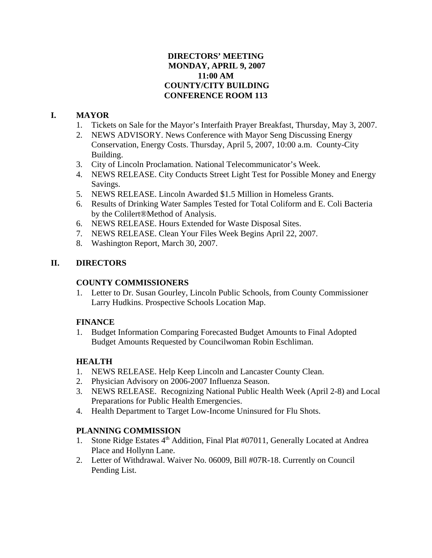## **DIRECTORS' MEETING MONDAY, APRIL 9, 2007 11:00 AM COUNTY/CITY BUILDING CONFERENCE ROOM 113**

## **I. MAYOR**

- 1. Tickets on Sale for the Mayor's Interfaith Prayer Breakfast, Thursday, May 3, 2007.
- 2. NEWS ADVISORY. News Conference with Mayor Seng Discussing Energy Conservation, Energy Costs. Thursday, April 5, 2007, 10:00 a.m. County-City Building.
- 3. City of Lincoln Proclamation. National Telecommunicator's Week.
- 4. NEWS RELEASE. City Conducts Street Light Test for Possible Money and Energy Savings.
- 5. NEWS RELEASE. Lincoln Awarded \$1.5 Million in Homeless Grants.
- 6. Results of Drinking Water Samples Tested for Total Coliform and E. Coli Bacteria by the Colilert®Method of Analysis.
- 6. NEWS RELEASE. Hours Extended for Waste Disposal Sites.
- 7. NEWS RELEASE. Clean Your Files Week Begins April 22, 2007.
- 8. Washington Report, March 30, 2007.

## **II. DIRECTORS**

## **COUNTY COMMISSIONERS**

1. Letter to Dr. Susan Gourley, Lincoln Public Schools, from County Commissioner Larry Hudkins. Prospective Schools Location Map.

## **FINANCE**

1. Budget Information Comparing Forecasted Budget Amounts to Final Adopted Budget Amounts Requested by Councilwoman Robin Eschliman.

## **HEALTH**

- 1. NEWS RELEASE. Help Keep Lincoln and Lancaster County Clean.
- 2. Physician Advisory on 2006-2007 Influenza Season.
- 3. NEWS RELEASE. Recognizing National Public Health Week (April 2-8) and Local Preparations for Public Health Emergencies.
- 4. Health Department to Target Low-Income Uninsured for Flu Shots.

## **PLANNING COMMISSION**

- 1. Stone Ridge Estates 4<sup>th</sup> Addition, Final Plat #07011, Generally Located at Andrea Place and Hollynn Lane.
- 2. Letter of Withdrawal. Waiver No. 06009, Bill #07R-18. Currently on Council Pending List.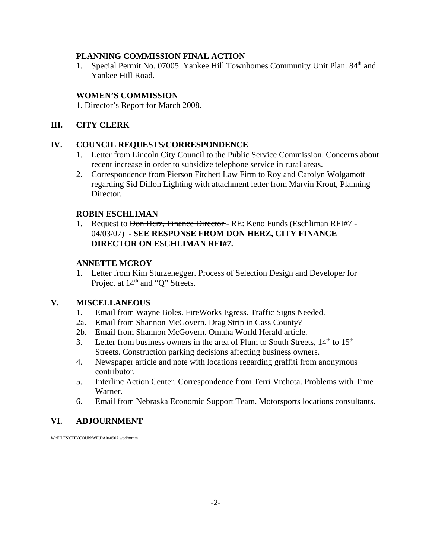## **PLANNING COMMISSION FINAL ACTION**

1. Special Permit No. 07005. Yankee Hill Townhomes Community Unit Plan. 84<sup>th</sup> and Yankee Hill Road.

## **WOMEN'S COMMISSION**

1. Director's Report for March 2008.

## **III. CITY CLERK**

### **IV. COUNCIL REQUESTS/CORRESPONDENCE**

- 1. Letter from Lincoln City Council to the Public Service Commission. Concerns about recent increase in order to subsidize telephone service in rural areas.
- 2. Correspondence from Pierson Fitchett Law Firm to Roy and Carolyn Wolgamott regarding Sid Dillon Lighting with attachment letter from Marvin Krout, Planning Director.

## **ROBIN ESCHLIMAN**

1. Request to <del>Don Herz, Finance Director</del> - RE: Keno Funds (Eschliman RFI#7 -04/03/07) **- SEE RESPONSE FROM DON HERZ, CITY FINANCE DIRECTOR ON ESCHLIMAN RFI#7.** 

## **ANNETTE MCROY**

1. Letter from Kim Sturzenegger. Process of Selection Design and Developer for Project at 14<sup>th</sup> and "Q" Streets.

## **V. MISCELLANEOUS**

- 1. Email from Wayne Boles. FireWorks Egress. Traffic Signs Needed.
- 2a. Email from Shannon McGovern. Drag Strip in Cass County?
- 2b. Email from Shannon McGovern. Omaha World Herald article.
- 3. Letter from business owners in the area of Plum to South Streets,  $14<sup>th</sup>$  to  $15<sup>th</sup>$ Streets. Construction parking decisions affecting business owners.
- 4. Newspaper article and note with locations regarding graffiti from anonymous contributor.
- 5. Interlinc Action Center. Correspondence from Terri Vrchota. Problems with Time Warner.
- 6. Email from Nebraska Economic Support Team. Motorsports locations consultants.

## **VI. ADJOURNMENT**

W:\FILES\CITYCOUN\WP\DA040907.wpd/mmm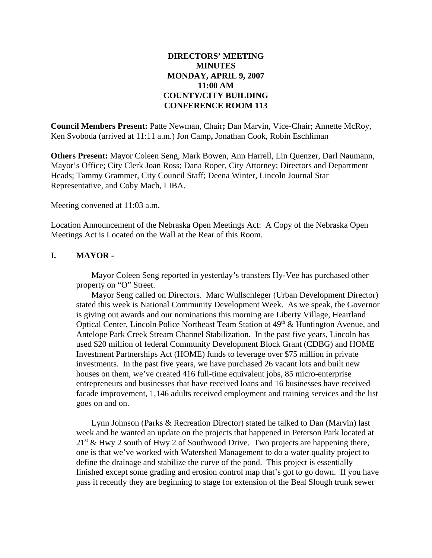## **DIRECTORS' MEETING MINUTES MONDAY, APRIL 9, 2007 11:00 AM COUNTY/CITY BUILDING CONFERENCE ROOM 113**

**Council Members Present:** Patte Newman, Chair**;** Dan Marvin, Vice-Chair; Annette McRoy, Ken Svoboda (arrived at 11:11 a.m.) Jon Camp**,** Jonathan Cook, Robin Eschliman

**Others Present:** Mayor Coleen Seng, Mark Bowen, Ann Harrell, Lin Quenzer, Darl Naumann, Mayor's Office; City Clerk Joan Ross; Dana Roper, City Attorney; Directors and Department Heads; Tammy Grammer, City Council Staff; Deena Winter, Lincoln Journal Star Representative, and Coby Mach, LIBA.

Meeting convened at 11:03 a.m.

Location Announcement of the Nebraska Open Meetings Act: A Copy of the Nebraska Open Meetings Act is Located on the Wall at the Rear of this Room.

## **I. MAYOR -**

Mayor Coleen Seng reported in yesterday's transfers Hy-Vee has purchased other property on "O" Street.

Mayor Seng called on Directors. Marc Wullschleger (Urban Development Director) stated this week is National Community Development Week. As we speak, the Governor is giving out awards and our nominations this morning are Liberty Village, Heartland Optical Center, Lincoln Police Northeast Team Station at  $49<sup>th</sup>$  & Huntington Avenue, and Antelope Park Creek Stream Channel Stabilization. In the past five years, Lincoln has used \$20 million of federal Community Development Block Grant (CDBG) and HOME Investment Partnerships Act (HOME) funds to leverage over \$75 million in private investments. In the past five years, we have purchased 26 vacant lots and built new houses on them, we've created 416 full-time equivalent jobs, 85 micro-enterprise entrepreneurs and businesses that have received loans and 16 businesses have received facade improvement, 1,146 adults received employment and training services and the list goes on and on.

Lynn Johnson (Parks & Recreation Director) stated he talked to Dan (Marvin) last week and he wanted an update on the projects that happened in Peterson Park located at  $21<sup>st</sup>$  & Hwy 2 south of Hwy 2 of Southwood Drive. Two projects are happening there, one is that we've worked with Watershed Management to do a water quality project to define the drainage and stabilize the curve of the pond. This project is essentially finished except some grading and erosion control map that's got to go down. If you have pass it recently they are beginning to stage for extension of the Beal Slough trunk sewer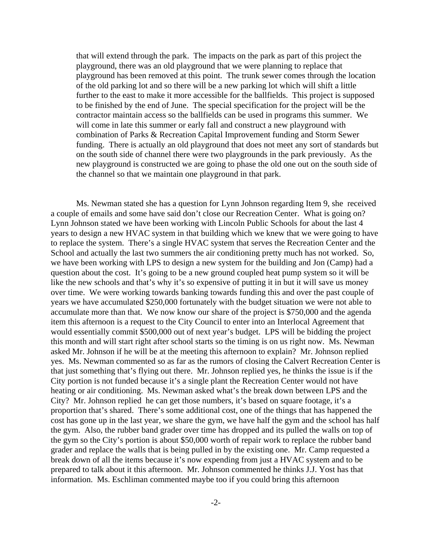that will extend through the park. The impacts on the park as part of this project the playground, there was an old playground that we were planning to replace that playground has been removed at this point. The trunk sewer comes through the location of the old parking lot and so there will be a new parking lot which will shift a little further to the east to make it more accessible for the ballfields. This project is supposed to be finished by the end of June. The special specification for the project will be the contractor maintain access so the ballfields can be used in programs this summer. We will come in late this summer or early fall and construct a new playground with combination of Parks & Recreation Capital Improvement funding and Storm Sewer funding. There is actually an old playground that does not meet any sort of standards but on the south side of channel there were two playgrounds in the park previously. As the new playground is constructed we are going to phase the old one out on the south side of the channel so that we maintain one playground in that park.

Ms. Newman stated she has a question for Lynn Johnson regarding Item 9, she received a couple of emails and some have said don't close our Recreation Center. What is going on? Lynn Johnson stated we have been working with Lincoln Public Schools for about the last 4 years to design a new HVAC system in that building which we knew that we were going to have to replace the system. There's a single HVAC system that serves the Recreation Center and the School and actually the last two summers the air conditioning pretty much has not worked. So, we have been working with LPS to design a new system for the building and Jon (Camp) had a question about the cost. It's going to be a new ground coupled heat pump system so it will be like the new schools and that's why it's so expensive of putting it in but it will save us money over time. We were working towards banking towards funding this and over the past couple of years we have accumulated \$250,000 fortunately with the budget situation we were not able to accumulate more than that. We now know our share of the project is \$750,000 and the agenda item this afternoon is a request to the City Council to enter into an Interlocal Agreement that would essentially commit \$500,000 out of next year's budget. LPS will be bidding the project this month and will start right after school starts so the timing is on us right now. Ms. Newman asked Mr. Johnson if he will be at the meeting this afternoon to explain? Mr. Johnson replied yes. Ms. Newman commented so as far as the rumors of closing the Calvert Recreation Center is that just something that's flying out there. Mr. Johnson replied yes, he thinks the issue is if the City portion is not funded because it's a single plant the Recreation Center would not have heating or air conditioning. Ms. Newman asked what's the break down between LPS and the City? Mr. Johnson replied he can get those numbers, it's based on square footage, it's a proportion that's shared. There's some additional cost, one of the things that has happened the cost has gone up in the last year, we share the gym, we have half the gym and the school has half the gym. Also, the rubber band grader over time has dropped and its pulled the walls on top of the gym so the City's portion is about \$50,000 worth of repair work to replace the rubber band grader and replace the walls that is being pulled in by the existing one. Mr. Camp requested a break down of all the items because it's now expending from just a HVAC system and to be prepared to talk about it this afternoon. Mr. Johnson commented he thinks J.J. Yost has that information. Ms. Eschliman commented maybe too if you could bring this afternoon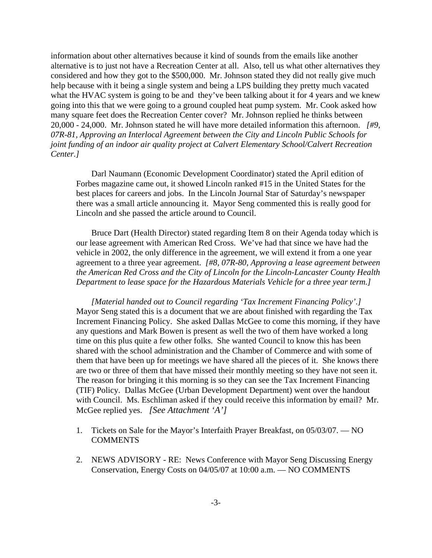information about other alternatives because it kind of sounds from the emails like another alternative is to just not have a Recreation Center at all. Also, tell us what other alternatives they considered and how they got to the \$500,000. Mr. Johnson stated they did not really give much help because with it being a single system and being a LPS building they pretty much vacated what the HVAC system is going to be and they've been talking about it for 4 years and we knew going into this that we were going to a ground coupled heat pump system. Mr. Cook asked how many square feet does the Recreation Center cover? Mr. Johnson replied he thinks between 20,000 - 24,000. Mr. Johnson stated he will have more detailed information this afternoon. *[#9, 07R-81, Approving an Interlocal Agreement between the City and Lincoln Public Schools for joint funding of an indoor air quality project at Calvert Elementary School/Calvert Recreation Center.]*

Darl Naumann (Economic Development Coordinator) stated the April edition of Forbes magazine came out, it showed Lincoln ranked #15 in the United States for the best places for careers and jobs. In the Lincoln Journal Star of Saturday's newspaper there was a small article announcing it. Mayor Seng commented this is really good for Lincoln and she passed the article around to Council.

Bruce Dart (Health Director) stated regarding Item 8 on their Agenda today which is our lease agreement with American Red Cross. We've had that since we have had the vehicle in 2002, the only difference in the agreement, we will extend it from a one year agreement to a three year agreement. *[#8, 07R-80, Approving a lease agreement between the American Red Cross and the City of Lincoln for the Lincoln-Lancaster County Health Department to lease space for the Hazardous Materials Vehicle for a three year term.]* 

*[Material handed out to Council regarding 'Tax Increment Financing Policy'.]*  Mayor Seng stated this is a document that we are about finished with regarding the Tax Increment Financing Policy. She asked Dallas McGee to come this morning, if they have any questions and Mark Bowen is present as well the two of them have worked a long time on this plus quite a few other folks. She wanted Council to know this has been shared with the school administration and the Chamber of Commerce and with some of them that have been up for meetings we have shared all the pieces of it. She knows there are two or three of them that have missed their monthly meeting so they have not seen it. The reason for bringing it this morning is so they can see the Tax Increment Financing (TIF) Policy. Dallas McGee (Urban Development Department) went over the handout with Council. Ms. Eschliman asked if they could receive this information by email? Mr. McGee replied yes. *[See Attachment 'A']* 

- 1. Tickets on Sale for the Mayor's Interfaith Prayer Breakfast, on 05/03/07. NO **COMMENTS**
- 2. NEWS ADVISORY RE: News Conference with Mayor Seng Discussing Energy Conservation, Energy Costs on 04/05/07 at 10:00 a.m. — NO COMMENTS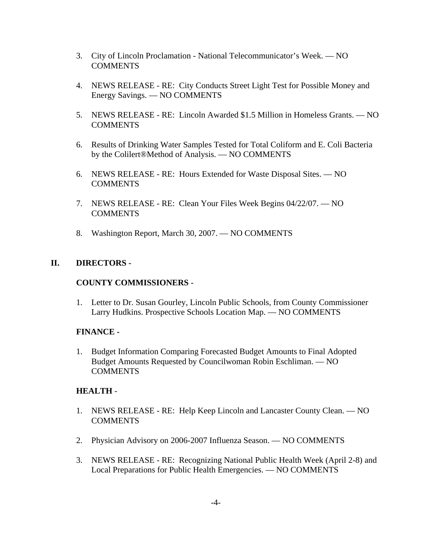- 3. City of Lincoln Proclamation National Telecommunicator's Week. NO **COMMENTS**
- 4. NEWS RELEASE RE: City Conducts Street Light Test for Possible Money and Energy Savings. — NO COMMENTS
- 5. NEWS RELEASE RE: Lincoln Awarded \$1.5 Million in Homeless Grants. NO COMMENTS
- 6. Results of Drinking Water Samples Tested for Total Coliform and E. Coli Bacteria by the Colilert®Method of Analysis. — NO COMMENTS
- 6. NEWS RELEASE RE: Hours Extended for Waste Disposal Sites. NO COMMENTS
- 7. NEWS RELEASE RE: Clean Your Files Week Begins 04/22/07. NO **COMMENTS**
- 8. Washington Report, March 30, 2007. NO COMMENTS

## **II. DIRECTORS -**

## **COUNTY COMMISSIONERS** -

1. Letter to Dr. Susan Gourley, Lincoln Public Schools, from County Commissioner Larry Hudkins. Prospective Schools Location Map. — NO COMMENTS

## **FINANCE -**

1. Budget Information Comparing Forecasted Budget Amounts to Final Adopted Budget Amounts Requested by Councilwoman Robin Eschliman. — NO **COMMENTS** 

## **HEALTH** -

- 1. NEWS RELEASE RE: Help Keep Lincoln and Lancaster County Clean. NO **COMMENTS**
- 2. Physician Advisory on 2006-2007 Influenza Season. NO COMMENTS
- 3. NEWS RELEASE RE: Recognizing National Public Health Week (April 2-8) and Local Preparations for Public Health Emergencies. — NO COMMENTS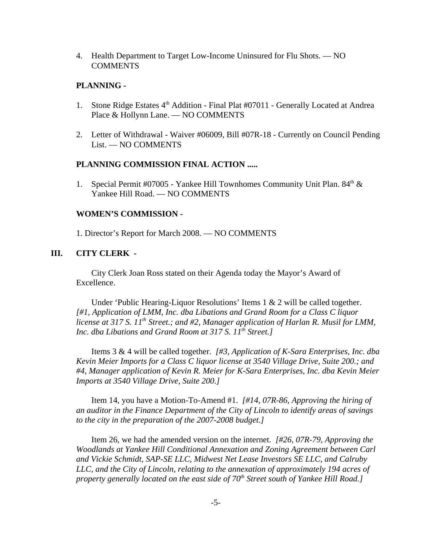4. Health Department to Target Low-Income Uninsured for Flu Shots. — NO COMMENTS

#### **PLANNING -**

- 1. Stone Ridge Estates 4<sup>th</sup> Addition Final Plat #07011 Generally Located at Andrea Place & Hollynn Lane. — NO COMMENTS
- 2. Letter of Withdrawal Waiver #06009, Bill #07R-18 Currently on Council Pending List. — NO COMMENTS

#### **PLANNING COMMISSION FINAL ACTION .....**

1. Special Permit #07005 - Yankee Hill Townhomes Community Unit Plan.  $84<sup>th</sup>$  & Yankee Hill Road. — NO COMMENTS

#### **WOMEN'S COMMISSION -**

1. Director's Report for March 2008. — NO COMMENTS

#### **III. CITY CLERK -**

City Clerk Joan Ross stated on their Agenda today the Mayor's Award of Excellence.

Under 'Public Hearing-Liquor Resolutions' Items 1 & 2 will be called together. *[#1, Application of LMM, Inc. dba Libations and Grand Room for a Class C liquor license at 317 S. 11th Street.; and #2, Manager application of Harlan R. Musil for LMM, Inc. dba Libations and Grand Room at 317 S. 11<sup>th</sup> Street.]* 

Items 3 & 4 will be called together. *[#3, Application of K-Sara Enterprises, Inc. dba Kevin Meier Imports for a Class C liquor license at 3540 Village Drive, Suite 200.; and #4, Manager application of Kevin R. Meier for K-Sara Enterprises, Inc. dba Kevin Meier Imports at 3540 Village Drive, Suite 200.]* 

Item 14, you have a Motion-To-Amend #1. *[#14, 07R-86, Approving the hiring of an auditor in the Finance Department of the City of Lincoln to identify areas of savings to the city in the preparation of the 2007-2008 budget.]* 

Item 26, we had the amended version on the internet. *[#26, 07R-79, Approving the Woodlands at Yankee Hill Conditional Annexation and Zoning Agreement between Carl and Vickie Schmidt, SAP-SE LLC, Midwest Net Lease Investors SE LLC, and Calruby LLC, and the City of Lincoln, relating to the annexation of approximately 194 acres of property generally located on the east side of 70<sup>th</sup> Street south of Yankee Hill Road.]*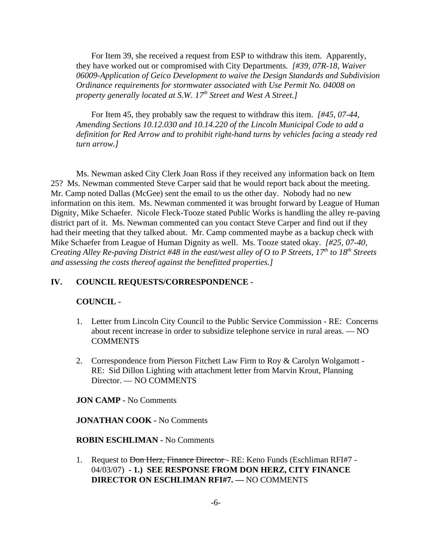For Item 39, she received a request from ESP to withdraw this item. Apparently, they have worked out or compromised with City Departments. *[#39, 07R-18, Waiver 06009-Application of Geico Development to waive the Design Standards and Subdivision Ordinance requirements for stormwater associated with Use Permit No. 04008 on property generally located at S.W. 17<sup>th</sup> Street and West A Street.]* 

For Item 45, they probably saw the request to withdraw this item. *[#45, 07-44, Amending Sections 10.12.030 and 10.14.220 of the Lincoln Municipal Code to add a definition for Red Arrow and to prohibit right-hand turns by vehicles facing a steady red turn arrow.]* 

Ms. Newman asked City Clerk Joan Ross if they received any information back on Item 25? Ms. Newman commented Steve Carper said that he would report back about the meeting. Mr. Camp noted Dallas (McGee) sent the email to us the other day. Nobody had no new information on this item. Ms. Newman commented it was brought forward by League of Human Dignity, Mike Schaefer. Nicole Fleck-Tooze stated Public Works is handling the alley re-paving district part of it. Ms. Newman commented can you contact Steve Carper and find out if they had their meeting that they talked about. Mr. Camp commented maybe as a backup check with Mike Schaefer from League of Human Dignity as well. Ms. Tooze stated okay. *[#25, 07-40, Creating Alley Re-paving District #48 in the east/west alley of O to P Streets, 17<sup>th</sup> to 18<sup>th</sup> Streets and assessing the costs thereof against the benefitted properties.]*

#### **IV. COUNCIL REQUESTS/CORRESPONDENCE -**

#### **COUNCIL -**

- 1. Letter from Lincoln City Council to the Public Service Commission RE: Concerns about recent increase in order to subsidize telephone service in rural areas. — NO COMMENTS
- 2. Correspondence from Pierson Fitchett Law Firm to Roy & Carolyn Wolgamott RE: Sid Dillon Lighting with attachment letter from Marvin Krout, Planning Director. — NO COMMENTS

**JON CAMP -** No Comments

**JONATHAN COOK -** No Comments

**ROBIN ESCHLIMAN -** No Comments

1. Request to <del>Don Herz, Finance Director</del> - RE: Keno Funds (Eschliman RFI#7 -04/03/07) **- 1.) SEE RESPONSE FROM DON HERZ, CITY FINANCE DIRECTOR ON ESCHLIMAN RFI#7. —** NO COMMENTS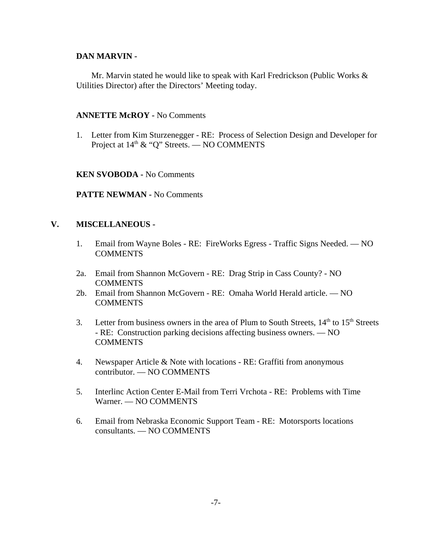#### **DAN MARVIN -**

Mr. Marvin stated he would like to speak with Karl Fredrickson (Public Works & Utilities Director) after the Directors' Meeting today.

#### **ANNETTE McROY -** No Comments

1. Letter from Kim Sturzenegger - RE: Process of Selection Design and Developer for Project at  $14<sup>th</sup>$  & "Q" Streets. — NO COMMENTS

**KEN SVOBODA -** No Comments

**PATTE NEWMAN -** No Comments

#### **V. MISCELLANEOUS -**

- 1. Email from Wayne Boles RE: FireWorks Egress Traffic Signs Needed. NO **COMMENTS**
- 2a. Email from Shannon McGovern RE: Drag Strip in Cass County? NO **COMMENTS**
- 2b. Email from Shannon McGovern RE: Omaha World Herald article. NO **COMMENTS**
- 3. Letter from business owners in the area of Plum to South Streets,  $14<sup>th</sup>$  to  $15<sup>th</sup>$  Streets - RE: Construction parking decisions affecting business owners. — NO COMMENTS
- 4. Newspaper Article & Note with locations RE: Graffiti from anonymous contributor. — NO COMMENTS
- 5. Interlinc Action Center E-Mail from Terri Vrchota RE: Problems with Time Warner. — NO COMMENTS
- 6. Email from Nebraska Economic Support Team RE: Motorsports locations consultants. — NO COMMENTS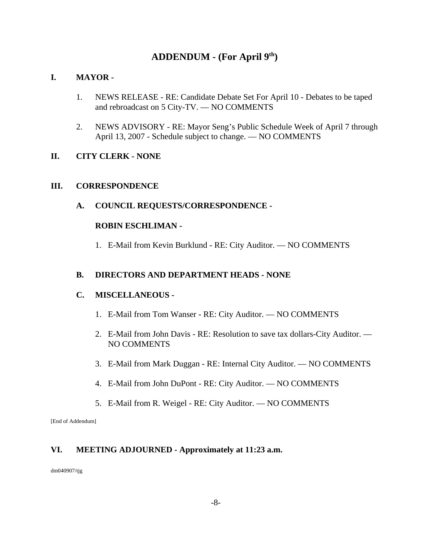## **ADDENDUM - (For April 9th)**

## **I. MAYOR -**

- 1. NEWS RELEASE RE: Candidate Debate Set For April 10 Debates to be taped and rebroadcast on 5 City-TV. — NO COMMENTS
- 2. NEWS ADVISORY RE: Mayor Seng's Public Schedule Week of April 7 through April 13, 2007 - Schedule subject to change. — NO COMMENTS

## **II. CITY CLERK - NONE**

## **III. CORRESPONDENCE**

**A. COUNCIL REQUESTS/CORRESPONDENCE -** 

## **ROBIN ESCHLIMAN -**

1. E-Mail from Kevin Burklund - RE: City Auditor. — NO COMMENTS

### **B. DIRECTORS AND DEPARTMENT HEADS - NONE**

### **C. MISCELLANEOUS -**

- 1. E-Mail from Tom Wanser RE: City Auditor. NO COMMENTS
- 2. E-Mail from John Davis RE: Resolution to save tax dollars-City Auditor. NO COMMENTS
- 3. E-Mail from Mark Duggan RE: Internal City Auditor. NO COMMENTS
- 4. E-Mail from John DuPont RE: City Auditor. NO COMMENTS
- 5. E-Mail from R. Weigel RE: City Auditor. NO COMMENTS

[End of Addendum]

## **VI. MEETING ADJOURNED - Approximately at 11:23 a.m.**

dm040907/tjg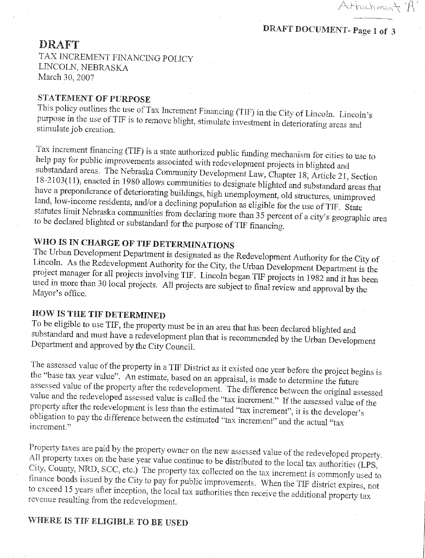Attachment'

## **DRAFT**

TAX INCREMENT FINANCING POLICY LINCOLN, NEBRASKA March 30, 2007

## **STATEMENT OF PURPOSE**

This policy outlines the use of Tax Increment Financing (TIF) in the City of Lincoln. Lincoln's purpose in the use of TIF is to remove blight, stimulate investment in deteriorating areas and stimulate job creation.

Tax increment financing (TIF) is a state authorized public funding mechanism for cities to use to help pay for public improvements associated with redevelopment projects in blighted and substandard areas. The Nebraska Community Development Law, Chapter 18, Article 21, Section 18-2103(11), enacted in 1980 allows communities to designate blighted and substandard areas that have a preponderance of deteriorating buildings, high unemployment, old structures, unimproved land, low-income residents, and/or a declining population as eligible for the use of TIF. State statutes limit Nebraska communities from declaring more than 35 percent of a city's geographic area to be declared blighted or substandard for the purpose of TIF financing.

# WHO IS IN CHARGE OF TIF DETERMINATIONS

The Urban Development Department is designated as the Redevelopment Authority for the City of Lincoln. As the Redevelopment Authority for the City, the Urban Development Department is the project manager for all projects involving TIF. Lincoln began TIF projects in 1982 and it has been used in more than 30 local projects. All projects are subject to final review and approval by the Mayor's office.

## **HOW IS THE TIF DETERMINED**

To be eligible to use TIF, the property must be in an area that has been declared blighted and substandard and must have a redevelopment plan that is recommended by the Urban Development Department and approved by the City Council.

The assessed value of the property in a TIF District as it existed one year before the project begins is the "base tax year value". An estimate, based on an appraisal, is made to determine the future assessed value of the property after the redevelopment. The difference between the original assessed value and the redeveloped assessed value is called the "tax increment." If the assessed value of the property after the redevelopment is less than the estimated "tax increment", it is the developer's obligation to pay the difference between the estimated "tax increment" and the actual "tax increment."

Property taxes are paid by the property owner on the new assessed value of the redeveloped property. All property taxes on the base year value continue to be distributed to the local tax authorities (LPS, City, County, NRD, SCC, etc.) The property tax collected on the tax increment is commonly used to finance bonds issued by the City to pay for public improvements. When the TIF district expires, not to exceed 15 years after inception, the local tax authorities then receive the additional property tax revenue resulting from the redevelopment.

## WHERE IS TIF ELIGIBLE TO BE USED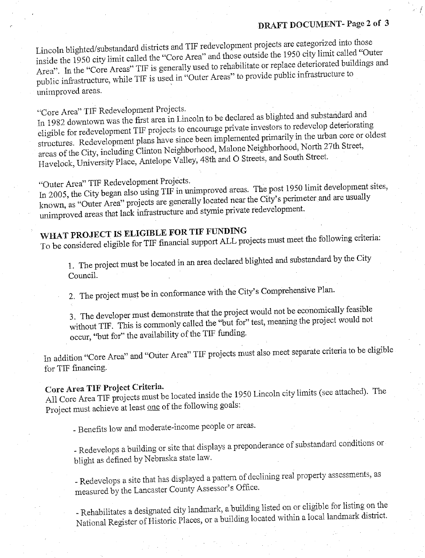## DRAFT DOCUMENT-Page 2 of 3

Lincoln blighted/substandard districts and TIF redevelopment projects are categorized into those inside the 1950 city limit called the "Core Area" and those outside the 1950 city limit called "Outer Area". In the "Core Areas" TIF is generally used to rehabilitate or replace deteriorated buildings and public infrastructure, while TIF is used in "Outer Areas" to provide public infrastructure to unimproved areas.

"Core Area" TIF Redevelopment Projects.

In 1982 downtown was the first area in Lincoln to be declared as blighted and substandard and eligible for redevelopment TIF projects to encourage private investors to redevelop deteriorating structures. Redevelopment plans have since been implemented primarily in the urban core or oldest areas of the City, including Clinton Neighborhood, Malone Neighborhood, North 27th Street, Havelock, University Place, Antelope Valley, 48th and O Streets, and South Street.

"Outer Area" TIF Redevelopment Projects.

In 2005, the City began also using TIF in unimproved areas. The post 1950 limit development sites, known, as "Outer Area" projects are generally located near the City's perimeter and are usually unimproved areas that lack infrastructure and stymie private redevelopment.

# WHAT PROJECT IS ELIGIBLE FOR TIF FUNDING

To be considered eligible for TIF financial support ALL projects must meet the following criteria:

1. The project must be located in an area declared blighted and substandard by the City Council.

2. The project must be in conformance with the City's Comprehensive Plan.

3. The developer must demonstrate that the project would not be economically feasible without TIF. This is commonly called the "but for" test, meaning the project would not occur, "but for" the availability of the TIF funding.

In addition "Core Area" and "Outer Area" TIF projects must also meet separate criteria to be eligible for TIF financing.

# Core Area TIF Project Criteria.

All Core Area TIF projects must be located inside the 1950 Lincoln city limits (see attached). The Project must achieve at least one of the following goals:

- Benefits low and moderate-income people or areas.

- Redevelops a building or site that displays a preponderance of substandard conditions or blight as defined by Nebraska state law.

- Redevelops a site that has displayed a pattern of declining real property assessments, as measured by the Lancaster County Assessor's Office.

- Rehabilitates a designated city landmark, a building listed on or eligible for listing on the National Register of Historic Places, or a building located within a local landmark district.